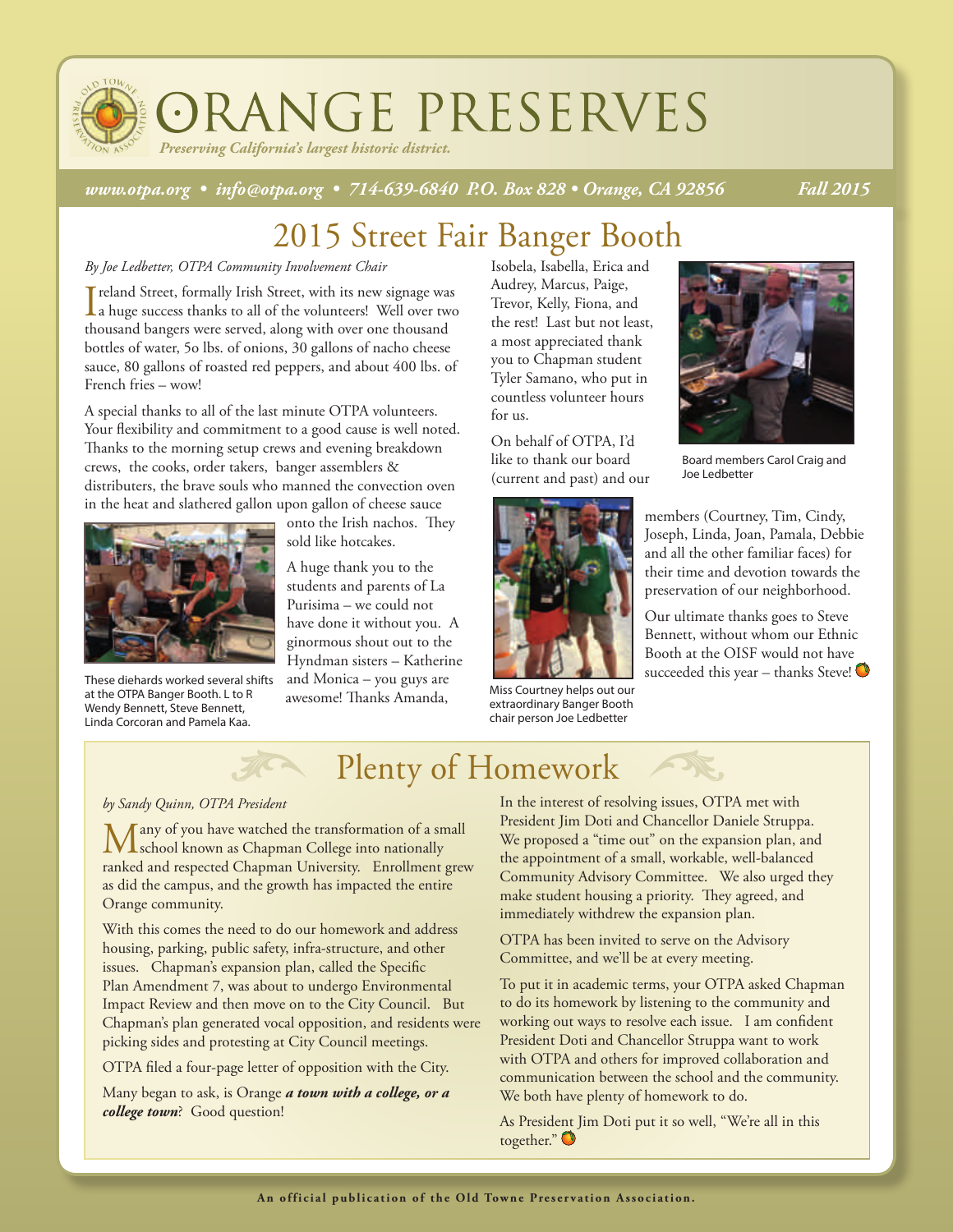

*Preserving California's largest historic district.*

*www.otpa.org • info@otpa.org • 714-639-6840 P.O. Box 828 • Orange, CA 92856 Fall 2015*

## 2015 Street Fair Banger Booth

#### *By Joe Ledbetter, OTPA Community Involvement Chair*

I reland Street, formally Irish Street, with its new signage was<br>a huge success thanks to all of the volunteers! Well over two reland Street, formally Irish Street, with its new signage was thousand bangers were served, along with over one thousand bottles of water, 5o lbs. of onions, 30 gallons of nacho cheese sauce, 80 gallons of roasted red peppers, and about 400 lbs. of French fries – wow!

A special thanks to all of the last minute OTPA volunteers. Your flexibility and commitment to a good cause is well noted. Thanks to the morning setup crews and evening breakdown crews, the cooks, order takers, banger assemblers & distributers, the brave souls who manned the convection oven in the heat and slathered gallon upon gallon of cheese sauce



at the OTPA Banger Booth. L to R Wendy Bennett, Steve Bennett, Linda Corcoran and Pamela Kaa.

onto the Irish nachos. They sold like hotcakes.

A huge thank you to the students and parents of La Purisima – we could not have done it without you. A ginormous shout out to the Hyndman sisters – Katherine and Monica – you guys are awesome! Thanks Amanda, These diehards worked several shifts and Monica – you guys are succeeded this year – thanks Steve!

Isobela, Isabella, Erica and Audrey, Marcus, Paige, Trevor, Kelly, Fiona, and the rest! Last but not least, a most appreciated thank you to Chapman student Tyler Samano, who put in countless volunteer hours for us.

On behalf of OTPA, I'd like to thank our board (current and past) and our



Miss Courtney helps out our extraordinary Banger Booth chair person Joe Ledbetter



Board members Carol Craig and Joe Ledbetter

members (Courtney, Tim, Cindy, Joseph, Linda, Joan, Pamala, Debbie and all the other familiar faces) for their time and devotion towards the preservation of our neighborhood.

Our ultimate thanks goes to Steve Bennett, without whom our Ethnic Booth at the OISF would not have

### Plenty of Homework

#### *by Sandy Quinn, OTPA President*

Many of you have watched the transformation of a small<br>
school known as Chapman College into nationally<br>
School Book ranked and respected Chapman University. Enrollment grew as did the campus, and the growth has impacted the entire Orange community.

With this comes the need to do our homework and address housing, parking, public safety, infra-structure, and other issues. Chapman's expansion plan, called the Specific Plan Amendment 7, was about to undergo Environmental Impact Review and then move on to the City Council. But Chapman's plan generated vocal opposition, and residents were picking sides and protesting at City Council meetings.

OTPA filed a four-page letter of opposition with the City.

Many began to ask, is Orange *a town with a college, or a college town*? Good question!

In the interest of resolving issues, OTPA met with President Jim Doti and Chancellor Daniele Struppa. We proposed a "time out" on the expansion plan, and the appointment of a small, workable, well-balanced Community Advisory Committee. We also urged they make student housing a priority. They agreed, and immediately withdrew the expansion plan.

OTPA has been invited to serve on the Advisory Committee, and we'll be at every meeting.

To put it in academic terms, your OTPA asked Chapman to do its homework by listening to the community and working out ways to resolve each issue. I am confident President Doti and Chancellor Struppa want to work with OTPA and others for improved collaboration and communication between the school and the community. We both have plenty of homework to do.

As President Jim Doti put it so well, "We're all in this together."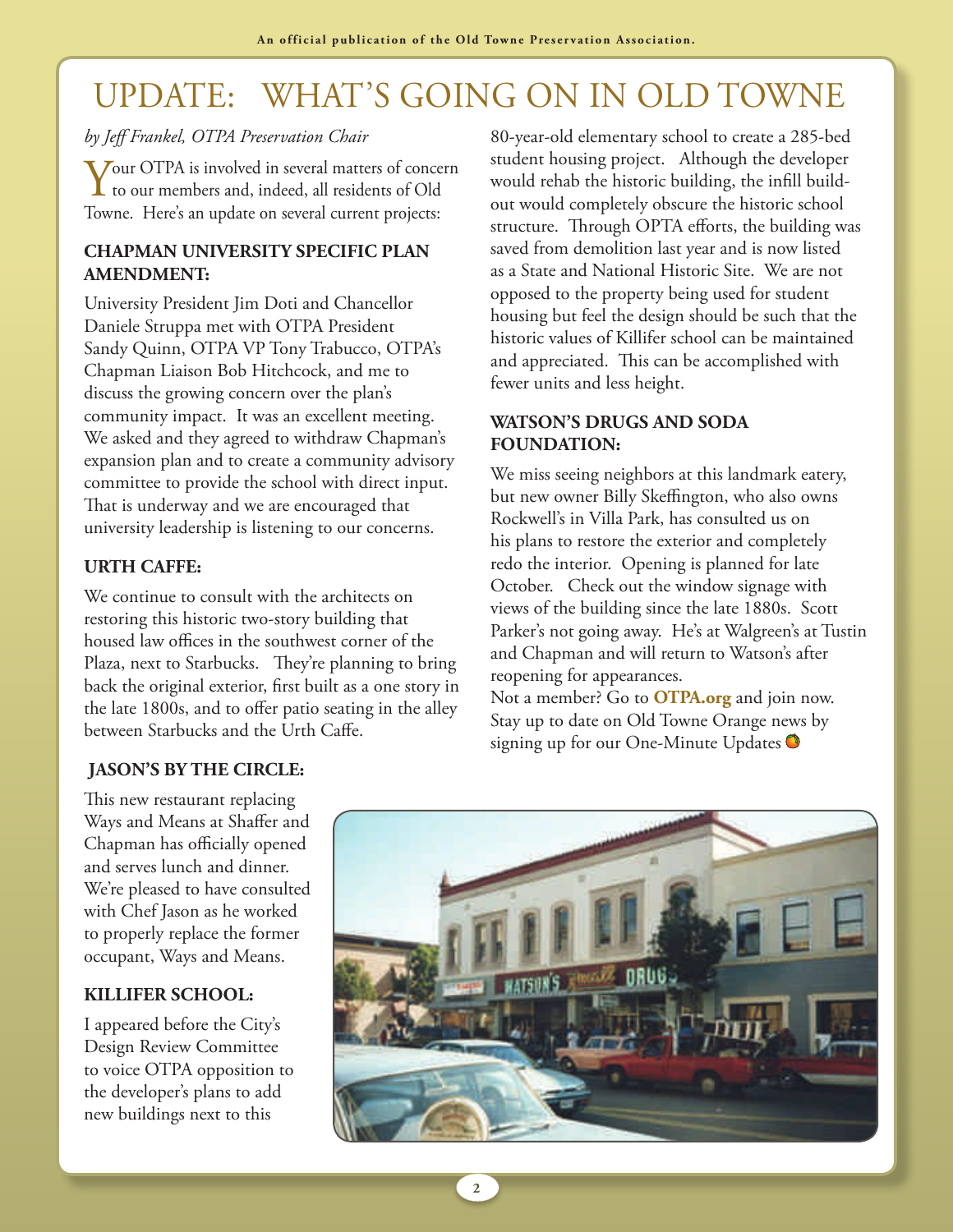# UPDATE: WHAT'S GOING ON IN OLD TOWNE

#### *by Jeff Frankel, OTPA Preservation Chair*

Your OTPA is involved in several matters of concern to our members and, indeed, all residents of Old Towne. Here's an update on several current projects:

#### **CHAPMAN UNIVERSITY SPECIFIC PLAN AMENDMENT:**

University President Jim Doti and Chancellor Daniele Struppa met with OTPA President Sandy Quinn, OTPA VP Tony Trabucco, OTPA's Chapman Liaison Bob Hitchcock, and me to discuss the growing concern over the plan's community impact. It was an excellent meeting. We asked and they agreed to withdraw Chapman's expansion plan and to create a community advisory committee to provide the school with direct input. That is underway and we are encouraged that university leadership is listening to our concerns.

#### **URTH CAFFE:**

We continue to consult with the architects on restoring this historic two-story building that housed law offices in the southwest corner of the Plaza, next to Starbucks. They're planning to bring back the original exterior, first built as a one story in the late 1800s, and to offer patio seating in the alley between Starbucks and the Urth Caffe.

#### **JASON'S BY THE CIRCLE:**

This new restaurant replacing Ways and Means at Shaffer and Chapman has officially opened and serves lunch and dinner. We're pleased to have consulted with Chef Jason as he worked to properly replace the former occupant, Ways and Means.

#### **KILLIFER SCHOOL:**

I appeared before the City's Design Review Committee to voice OTPA opposition to the developer's plans to add new buildings next to this

80-year-old elementary school to create a 285-bed student housing project. Although the developer would rehab the historic building, the infill buildout would completely obscure the historic school structure. Through OPTA efforts, the building was saved from demolition last year and is now listed as a State and National Historic Site. We are not opposed to the property being used for student housing but feel the design should be such that the historic values of Killifer school can be maintained and appreciated. This can be accomplished with fewer units and less height.

#### **WATSON'S DRUGS AND SODA FOUNDATION:**

We miss seeing neighbors at this landmark eatery, but new owner Billy Skeffington, who also owns Rockwell's in Villa Park, has consulted us on his plans to restore the exterior and completely redo the interior. Opening is planned for late October. Check out the window signage with views of the building since the late 1880s. Scott Parker's not going away. He's at Walgreen's at Tustin and Chapman and will return to Watson's after reopening for appearances.

Not a member? Go to **OTPA.org** and join now. Stay up to date on Old Towne Orange news by signing up for our One-Minute Updates

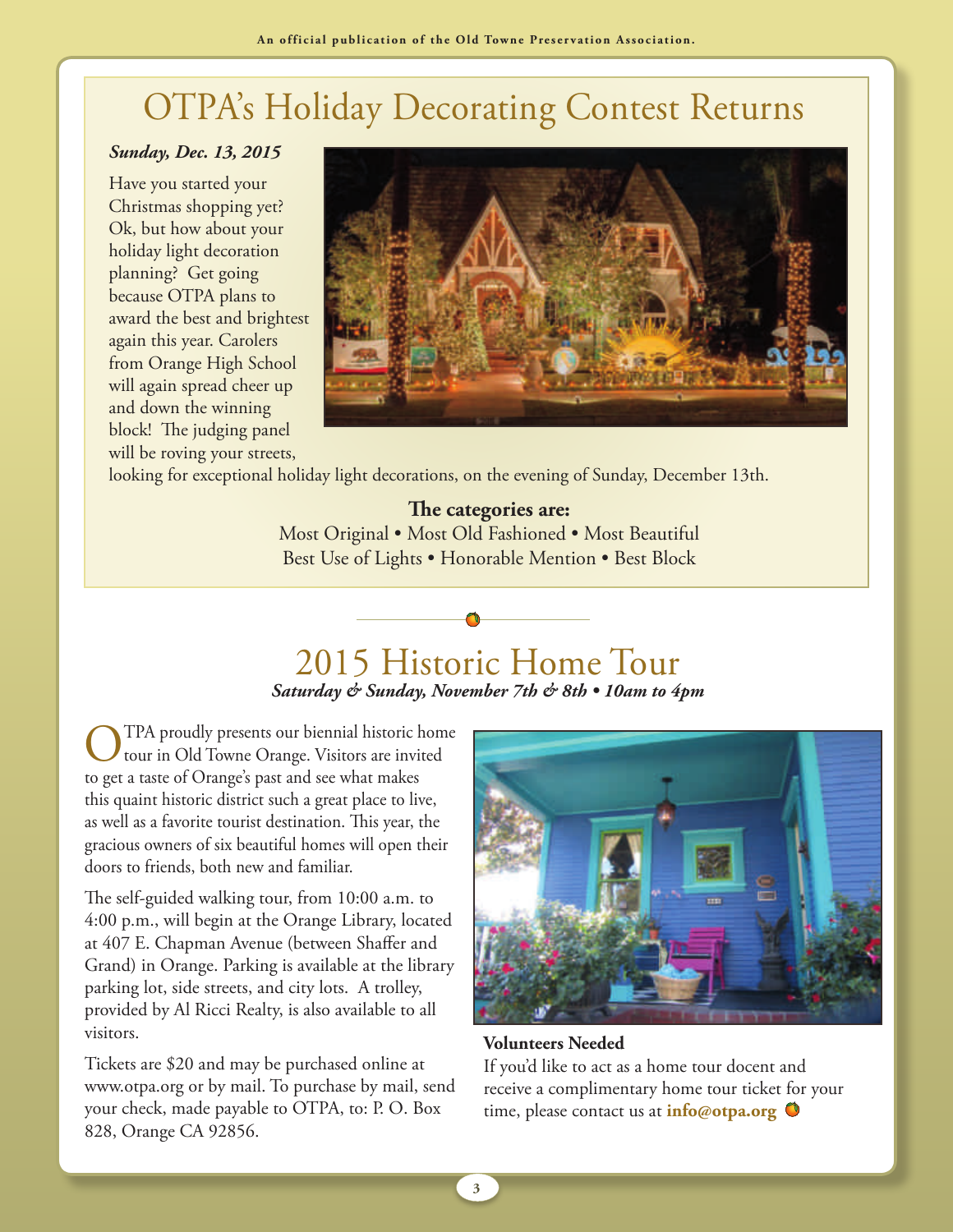# OTPA's Holiday Decorating Contest Returns

#### *Sunday, Dec. 13, 2015*

Have you started your Christmas shopping yet? Ok, but how about your holiday light decoration planning? Get going because OTPA plans to award the best and brightest again this year. Carolers from Orange High School will again spread cheer up and down the winning block! The judging panel will be roving your streets,



looking for exceptional holiday light decorations, on the evening of Sunday, December 13th.

### **The categories are:**

Most Original • Most Old Fashioned • Most Beautiful Best Use of Lights • Honorable Mention • Best Block

# 2015 Historic Home Tour

*Saturday & Sunday, November 7th & 8th • 10am to 4pm*

TPA proudly presents our biennial historic home tour in Old Towne Orange. Visitors are invited to get a taste of Orange's past and see what makes this quaint historic district such a great place to live, as well as a favorite tourist destination. This year, the gracious owners of six beautiful homes will open their doors to friends, both new and familiar.

The self-guided walking tour, from 10:00 a.m. to 4:00 p.m., will begin at the Orange Library, located at 407 E. Chapman Avenue (between Shaffer and Grand) in Orange. Parking is available at the library parking lot, side streets, and city lots. A trolley, provided by Al Ricci Realty, is also available to all visitors.

Tickets are \$20 and may be purchased online at www.otpa.org or by mail. To purchase by mail, send your check, made payable to OTPA, to: P. O. Box 828, Orange CA 92856.



**Volunteers Needed**

If you'd like to act as a home tour docent and receive a complimentary home tour ticket for your time, please contact us at **info@otpa.org** 

**3**